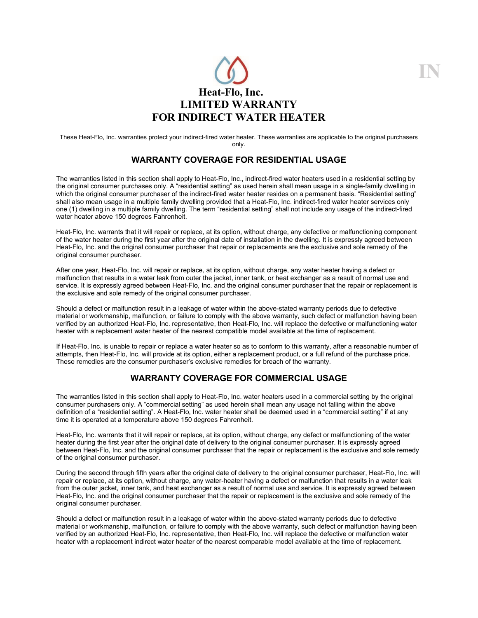

**IN**

These Heat-Flo, Inc. warranties protect your indirect-fired water heater. These warranties are applicable to the original purchasers only.

# **WARRANTY COVERAGE FOR RESIDENTIAL USAGE**

The warranties listed in this section shall apply to Heat-Flo, Inc., indirect-fired water heaters used in a residential setting by the original consumer purchases only. A "residential setting" as used herein shall mean usage in a single-family dwelling in which the original consumer purchaser of the indirect-fired water heater resides on a permanent basis. "Residential setting" shall also mean usage in a multiple family dwelling provided that a Heat-Flo, Inc. indirect-fired water heater services only one (1) dwelling in a multiple family dwelling. The term "residential setting" shall not include any usage of the indirect-fired water heater above 150 degrees Fahrenheit.

Heat-Flo, Inc. warrants that it will repair or replace, at its option, without charge, any defective or malfunctioning component of the water heater during the first year after the original date of installation in the dwelling. It is expressly agreed between Heat-Flo, Inc. and the original consumer purchaser that repair or replacements are the exclusive and sole remedy of the original consumer purchaser.

After one year, Heat-Flo, Inc. will repair or replace, at its option, without charge, any water heater having a defect or malfunction that results in a water leak from outer the jacket, inner tank, or heat exchanger as a result of normal use and service. It is expressly agreed between Heat-Flo, Inc. and the original consumer purchaser that the repair or replacement is the exclusive and sole remedy of the original consumer purchaser.

Should a defect or malfunction result in a leakage of water within the above-stated warranty periods due to defective material or workmanship, malfunction, or failure to comply with the above warranty, such defect or malfunction having been verified by an authorized Heat-Flo, Inc. representative, then Heat-Flo, Inc. will replace the defective or malfunctioning water heater with a replacement water heater of the nearest compatible model available at the time of replacement.

If Heat-Flo, Inc. is unable to repair or replace a water heater so as to conform to this warranty, after a reasonable number of attempts, then Heat-Flo, Inc. will provide at its option, either a replacement product, or a full refund of the purchase price. These remedies are the consumer purchaser's exclusive remedies for breach of the warranty.

## **WARRANTY COVERAGE FOR COMMERCIAL USAGE**

The warranties listed in this section shall apply to Heat-Flo, Inc. water heaters used in a commercial setting by the original consumer purchasers only. A "commercial setting" as used herein shall mean any usage not falling within the above definition of a "residential setting". A Heat-Flo, Inc. water heater shall be deemed used in a "commercial setting" if at any time it is operated at a temperature above 150 degrees Fahrenheit.

Heat-Flo, Inc. warrants that it will repair or replace, at its option, without charge, any defect or malfunctioning of the water heater during the first year after the original date of delivery to the original consumer purchaser. It is expressly agreed between Heat-Flo, Inc. and the original consumer purchaser that the repair or replacement is the exclusive and sole remedy of the original consumer purchaser.

During the second through fifth years after the original date of delivery to the original consumer purchaser, Heat-Flo, Inc. will repair or replace, at its option, without charge, any water-heater having a defect or malfunction that results in a water leak from the outer jacket, inner tank, and heat exchanger as a result of normal use and service. It is expressly agreed between Heat-Flo, Inc. and the original consumer purchaser that the repair or replacement is the exclusive and sole remedy of the original consumer purchaser.

Should a defect or malfunction result in a leakage of water within the above-stated warranty periods due to defective material or workmanship, malfunction, or failure to comply with the above warranty, such defect or malfunction having been verified by an authorized Heat-Flo, Inc. representative, then Heat-Flo, Inc. will replace the defective or malfunction water heater with a replacement indirect water heater of the nearest comparable model available at the time of replacement.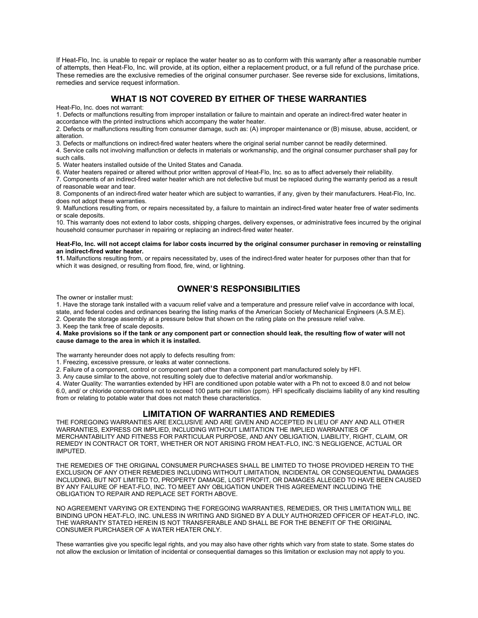If Heat-Flo, Inc. is unable to repair or replace the water heater so as to conform with this warranty after a reasonable number of attempts, then Heat-Flo, Inc. will provide, at its option, either a replacement product, or a full refund of the purchase price. These remedies are the exclusive remedies of the original consumer purchaser. See reverse side for exclusions, limitations, remedies and service request information.

## **WHAT IS NOT COVERED BY EITHER OF THESE WARRANTIES**

Heat-Flo, Inc. does not warrant:

1. Defects or malfunctions resulting from improper installation or failure to maintain and operate an indirect-fired water heater in accordance with the printed instructions which accompany the water heater.

2. Defects or malfunctions resulting from consumer damage, such as: (A) improper maintenance or (B) misuse, abuse, accident, or alteration.

3. Defects or malfunctions on indirect-fired water heaters where the original serial number cannot be readily determined.

4. Service calls not involving malfunction or defects in materials or workmanship, and the original consumer purchaser shall pay for such calls.

5. Water heaters installed outside of the United States and Canada.

6. Water heaters repaired or altered without prior written approval of Heat-Flo, Inc. so as to affect adversely their reliability.

7. Components of an indirect-fired water heater which are not defective but must be replaced during the warranty period as a result of reasonable wear and tear.

8. Components of an indirect-fired water heater which are subject to warranties, if any, given by their manufacturers. Heat-Flo, Inc. does not adopt these warranties.

9. Malfunctions resulting from, or repairs necessitated by, a failure to maintain an indirect-fired water heater free of water sediments or scale deposits.

10. This warranty does not extend to labor costs, shipping charges, delivery expenses, or administrative fees incurred by the original household consumer purchaser in repairing or replacing an indirect-fired water heater.

#### **Heat-Flo, Inc. will not accept claims for labor costs incurred by the original consumer purchaser in removing or reinstalling an indirect-fired water heater.**

**11.** Malfunctions resulting from, or repairs necessitated by, uses of the indirect-fired water heater for purposes other than that for which it was designed, or resulting from flood, fire, wind, or lightning.

## **OWNER'S RESPONSIBILITIES**

The owner or installer must:

1. Have the storage tank installed with a vacuum relief valve and a temperature and pressure relief valve in accordance with local, state, and federal codes and ordinances bearing the listing marks of the American Society of Mechanical Engineers (A.S.M.E).

2. Operate the storage assembly at a pressure below that shown on the rating plate on the pressure relief valve.

3. Keep the tank free of scale deposits.

**4. Make provisions so if the tank or any component part or connection should leak, the resulting flow of water will not cause damage to the area in which it is installed.**

The warranty hereunder does not apply to defects resulting from:

1. Freezing, excessive pressure, or leaks at water connections.

2. Failure of a component, control or component part other than a component part manufactured solely by HFI.

3. Any cause similar to the above, not resulting solely due to defective material and/or workmanship.

4. Water Quality: The warranties extended by HFI are conditioned upon potable water with a Ph not to exceed 8.0 and not below 6.0, and/ or chloride concentrations not to exceed 100 parts per million (ppm). HFI specifically disclaims liability of any kind resulting from or relating to potable water that does not match these characteristics.

### **LIMITATION OF WARRANTIES AND REMEDIES**

THE FOREGOING WARRANTIES ARE EXCLUSIVE AND ARE GIVEN AND ACCEPTED IN LIEU OF ANY AND ALL OTHER WARRANTIES, EXPRESS OR IMPLIED, INCLUDING WITHOUT LIMITATION THE IMPLIED WARRANTIES OF MERCHANTABILITY AND FITNESS FOR PARTICULAR PURPOSE, AND ANY OBLIGATION, LIABILITY, RIGHT, CLAIM, OR REMEDY IN CONTRACT OR TORT, WHETHER OR NOT ARISING FROM HEAT-FLO, INC.'S NEGLIGENCE, ACTUAL OR IMPUTED.

THE REMEDIES OF THE ORIGINAL CONSUMER PURCHASES SHALL BE LIMITED TO THOSE PROVIDED HEREIN TO THE EXCLUSION OF ANY OTHER REMEDIES INCLUDING WITHOUT LIMITATION, INCIDENTAL OR CONSEQUENTIAL DAMAGES INCLUDING, BUT NOT LIMITED TO, PROPERTY DAMAGE, LOST PROFIT, OR DAMAGES ALLEGED TO HAVE BEEN CAUSED BY ANY FAILURE OF HEAT-FLO, INC. TO MEET ANY OBLIGATION UNDER THIS AGREEMENT INCLUDING THE OBLIGATION TO REPAIR AND REPLACE SET FORTH ABOVE.

NO AGREEMENT VARYING OR EXTENDING THE FOREGOING WARRANTIES, REMEDIES, OR THIS LIMITATION WILL BE BINDING UPON HEAT-FLO, INC. UNLESS IN WRITING AND SIGNED BY A DULY AUTHORIZED OFFICER OF HEAT-FLO, INC. THE WARRANTY STATED HEREIN IS NOT TRANSFERABLE AND SHALL BE FOR THE BENEFIT OF THE ORIGINAL CONSUMER PURCHASER OF A WATER HEATER ONLY.

These warranties give you specific legal rights, and you may also have other rights which vary from state to state. Some states do not allow the exclusion or limitation of incidental or consequential damages so this limitation or exclusion may not apply to you.